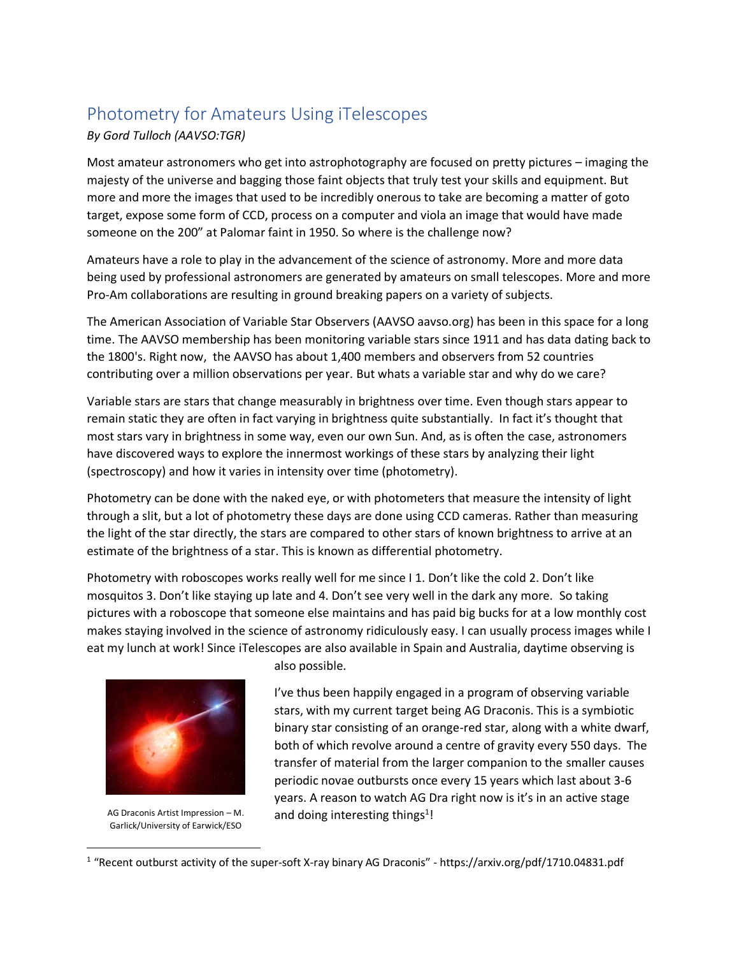## Photometry for Amateurs Using iTelescopes *By Gord Tulloch (AAVSO:TGR)*

Most amateur astronomers who get into astrophotography are focused on pretty pictures – imaging the majesty of the universe and bagging those faint objects that truly test your skills and equipment. But more and more the images that used to be incredibly onerous to take are becoming a matter of goto target, expose some form of CCD, process on a computer and viola an image that would have made someone on the 200" at Palomar faint in 1950. So where is the challenge now?

Amateurs have a role to play in the advancement of the science of astronomy. More and more data being used by professional astronomers are generated by amateurs on small telescopes. More and more Pro-Am collaborations are resulting in ground breaking papers on a variety of subjects.

The American Association of Variable Star Observers (AAVSO aavso.org) has been in this space for a long time. The AAVSO membership has been monitoring variable stars since 1911 and has data dating back to the 1800's. Right now, the AAVSO has about 1,400 members and observers from 52 countries contributing over a million observations per year. But whats a variable star and why do we care?

Variable stars are stars that change measurably in brightness over time. Even though stars appear to remain static they are often in fact varying in brightness quite substantially. In fact it's thought that most stars vary in brightness in some way, even our own Sun. And, as is often the case, astronomers have discovered ways to explore the innermost workings of these stars by analyzing their light (spectroscopy) and how it varies in intensity over time (photometry).

Photometry can be done with the naked eye, or with photometers that measure the intensity of light through a slit, but a lot of photometry these days are done using CCD cameras. Rather than measuring the light of the star directly, the stars are compared to other stars of known brightness to arrive at an estimate of the brightness of a star. This is known as differential photometry.

Photometry with roboscopes works really well for me since I 1. Don't like the cold 2. Don't like mosquitos 3. Don't like staying up late and 4. Don't see very well in the dark any more. So taking pictures with a roboscope that someone else maintains and has paid big bucks for at a low monthly cost makes staying involved in the science of astronomy ridiculously easy. I can usually process images while I eat my lunch at work! Since iTelescopes are also available in Spain and Australia, daytime observing is



AG Draconis Artist Impression – M. Garlick/University of Earwick/ESO

 $\overline{\phantom{a}}$ 

also possible.

I've thus been happily engaged in a program of observing variable stars, with my current target being AG Draconis. This is a symbiotic binary star consisting of an orange-red star, along with a white dwarf, both of which revolve around a centre of gravity every 550 days. The transfer of material from the larger companion to the smaller causes periodic novae outbursts once every 15 years which last about 3-6 years. A reason to watch AG Dra right now is it's in an active stage and doing interesting things<sup>1</sup>!

<sup>&</sup>lt;sup>1</sup> "Recent outburst activity of the super-soft X-ray binary AG Draconis" - https://arxiv.org/pdf/1710.04831.pdf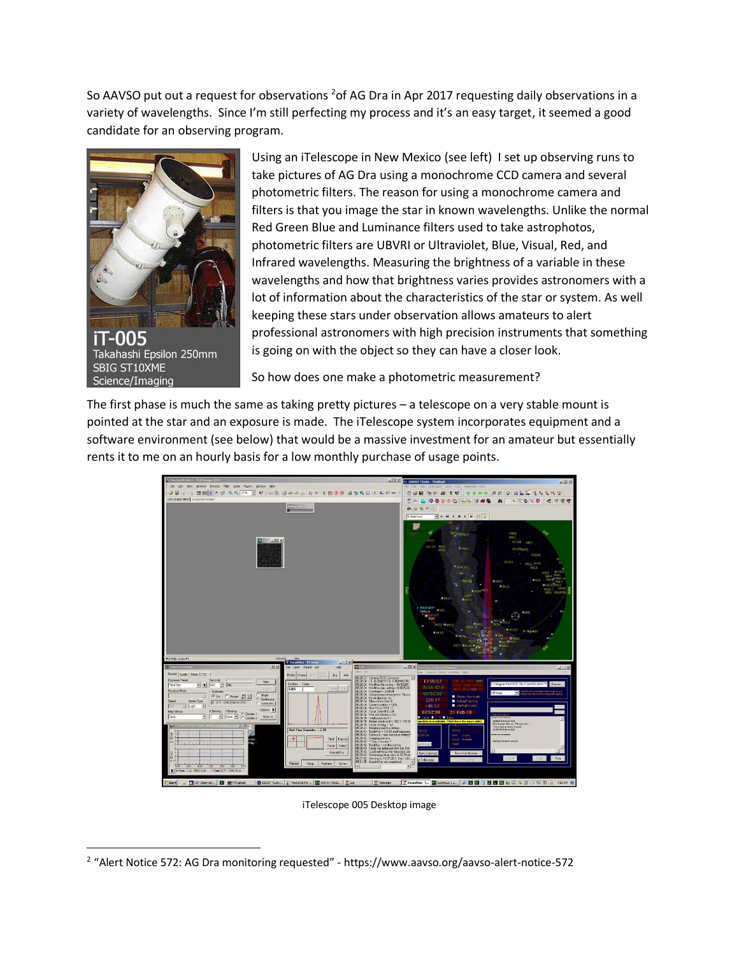So AAVSO put out a request for observations <sup>2</sup> of AG Dra in Apr 2017 requesting daily observations in a variety of wavelengths. Since I'm still perfecting my process and it's an easy target, it seemed a good candidate for an observing program.



 $\overline{\phantom{a}}$ 

Using an iTelescope in New Mexico (see left) I set up observing runs to take pictures of AG Dra using a monochrome CCD camera and several photometric filters. The reason for using a monochrome camera and filters is that you image the star in known wavelengths. Unlike the normal Red Green Blue and Luminance filters used to take astrophotos, photometric filters are UBVRI or Ultraviolet, Blue, Visual, Red, and Infrared wavelengths. Measuring the brightness of a variable in these wavelengths and how that brightness varies provides astronomers with a lot of information about the characteristics of the star or system. As well keeping these stars under observation allows amateurs to alert professional astronomers with high precision instruments that something is going on with the object so they can have a closer look.

So how does one make a photometric measurement?

The first phase is much the same as taking pretty pictures – a telescope on a very stable mount is pointed at the star and an exposure is made. The iTelescope system incorporates equipment and a software environment (see below) that would be a massive investment for an amateur but essentially rents it to me on an hourly basis for a low monthly purchase of usage points.



iTelescope 005 Desktop image

<sup>&</sup>lt;sup>2</sup> "Alert Notice 572: AG Dra monitoring requested" - https://www.aavso.org/aavso-alert-notice-572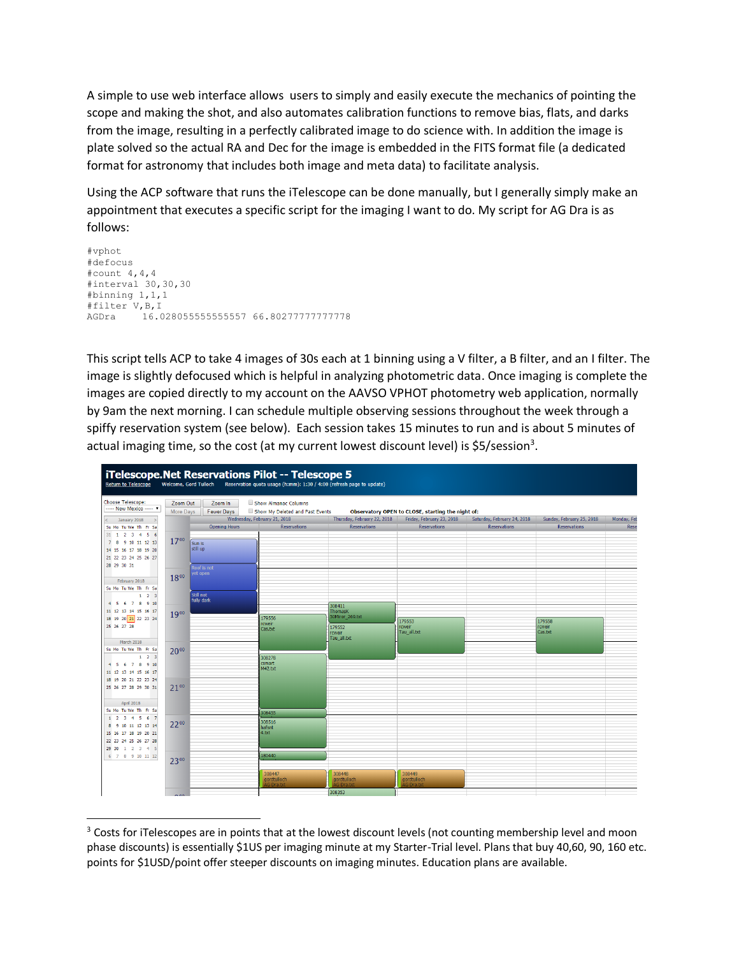A simple to use web interface allows users to simply and easily execute the mechanics of pointing the scope and making the shot, and also automates calibration functions to remove bias, flats, and darks from the image, resulting in a perfectly calibrated image to do science with. In addition the image is plate solved so the actual RA and Dec for the image is embedded in the FITS format file (a dedicated format for astronomy that includes both image and meta data) to facilitate analysis.

Using the ACP software that runs the iTelescope can be done manually, but I generally simply make an appointment that executes a specific script for the imaging I want to do. My script for AG Dra is as follows:

```
#vphot
#defocus
#count 4,4,4
#interval 30,30,30
#binning 1,1,1
#filter V,B,I
AGDra 16.028055555555557 66.80277777777778
```
This script tells ACP to take 4 images of 30s each at 1 binning using a V filter, a B filter, and an I filter. The image is slightly defocused which is helpful in analyzing photometric data. Once imaging is complete the images are copied directly to my account on the AAVSO VPHOT photometry web application, normally by 9am the next morning. I can schedule multiple observing sessions throughout the week through a spiffy reservation system (see below). Each session takes 15 minutes to run and is about 5 minutes of actual imaging time, so the cost (at my current lowest discount level) is \$5/session<sup>3</sup>.



 $\overline{a}$ <sup>3</sup> Costs for iTelescopes are in points that at the lowest discount levels (not counting membership level and moon phase discounts) is essentially \$1US per imaging minute at my Starter-Trial level. Plans that buy 40,60, 90, 160 etc. points for \$1USD/point offer steeper discounts on imaging minutes. Education plans are available.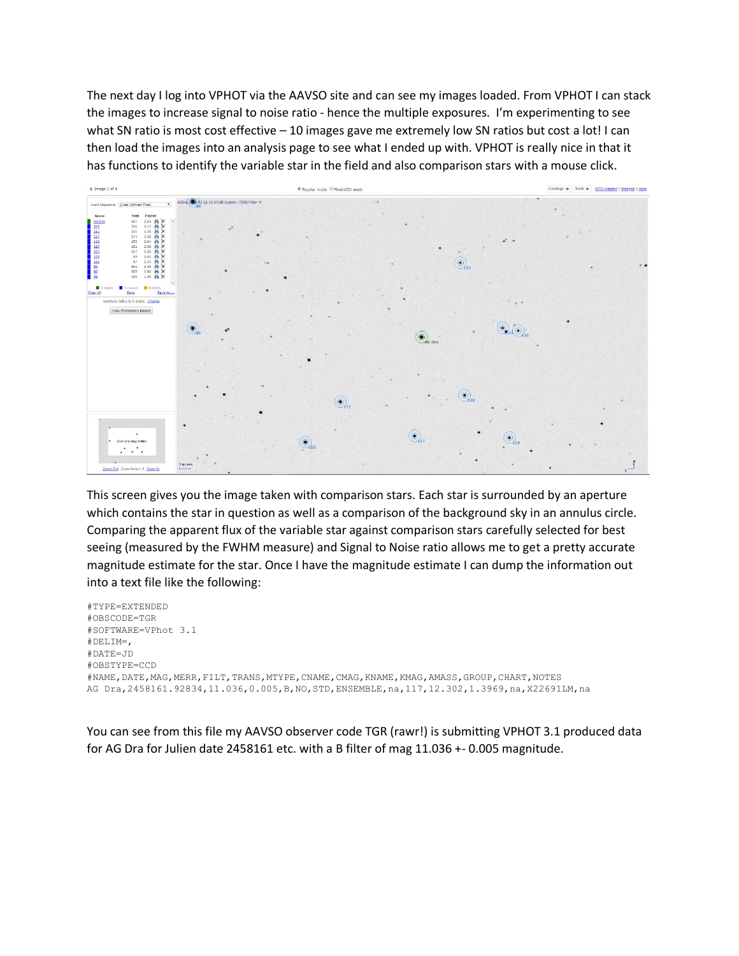The next day I log into VPHOT via the AAVSO site and can see my images loaded. From VPHOT I can stack the images to increase signal to noise ratio - hence the multiple exposures. I'm experimenting to see what SN ratio is most cost effective - 10 images gave me extremely low SN ratios but cost a lot! I can then load the images into an analysis page to see what I ended up with. VPHOT is really nice in that it has functions to identify the variable star in the field and also comparison stars with a mouse click.



This screen gives you the image taken with comparison stars. Each star is surrounded by an aperture which contains the star in question as well as a comparison of the background sky in an annulus circle. Comparing the apparent flux of the variable star against comparison stars carefully selected for best seeing (measured by the FWHM measure) and Signal to Noise ratio allows me to get a pretty accurate magnitude estimate for the star. Once I have the magnitude estimate I can dump the information out into a text file like the following:

```
#TYPE=EXTENDED
#OBSCODE=TGR
#SOFTWARE=VPhot 3.1
#DELIM=,
#DATE=JD
#OBSTYPE=CCD
#NAME,DATE,MAG,MERR,FILT,TRANS,MTYPE,CNAME,CMAG,KNAME,KMAG,AMASS,GROUP,CHART,NOTES
AG Dra,2458161.92834,11.036,0.005,B,NO,STD,ENSEMBLE,na,117,12.302,1.3969,na,X22691LM,na
```
You can see from this file my AAVSO observer code TGR (rawr!) is submitting VPHOT 3.1 produced data for AG Dra for Julien date 2458161 etc. with a B filter of mag 11.036 +- 0.005 magnitude.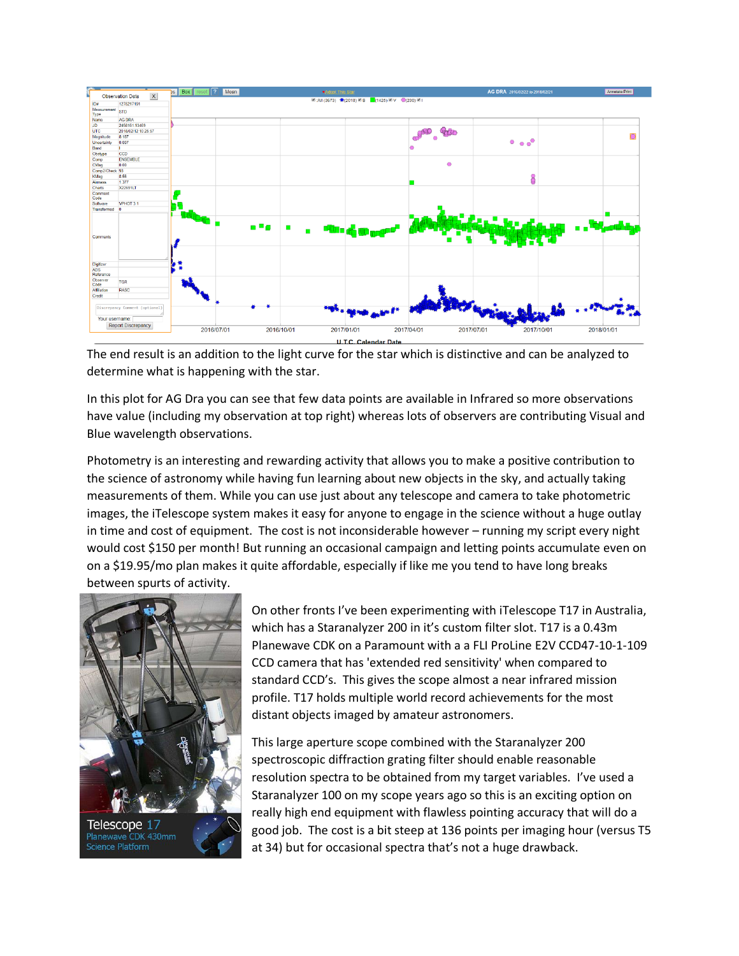

The end result is an addition to the light curve for the star which is distinctive and can be analyzed to determine what is happening with the star.

In this plot for AG Dra you can see that few data points are available in Infrared so more observations have value (including my observation at top right) whereas lots of observers are contributing Visual and Blue wavelength observations.

Photometry is an interesting and rewarding activity that allows you to make a positive contribution to the science of astronomy while having fun learning about new objects in the sky, and actually taking measurements of them. While you can use just about any telescope and camera to take photometric images, the iTelescope system makes it easy for anyone to engage in the science without a huge outlay in time and cost of equipment. The cost is not inconsiderable however – running my script every night would cost \$150 per month! But running an occasional campaign and letting points accumulate even on on a \$19.95/mo plan makes it quite affordable, especially if like me you tend to have long breaks between spurts of activity.



On other fronts I've been experimenting with iTelescope T17 in Australia, which has a Staranalyzer 200 in it's custom filter slot. T17 is a 0.43m Planewave CDK on a Paramount with a a FLI ProLine E2V CCD47-10-1-109 CCD camera that has 'extended red sensitivity' when compared to standard CCD's. This gives the scope almost a near infrared mission profile. T17 holds multiple world record achievements for the most distant objects imaged by amateur astronomers.

This large aperture scope combined with the Staranalyzer 200 spectroscopic diffraction grating filter should enable reasonable resolution spectra to be obtained from my target variables. I've used a Staranalyzer 100 on my scope years ago so this is an exciting option on really high end equipment with flawless pointing accuracy that will do a good job. The cost is a bit steep at 136 points per imaging hour (versus T5 at 34) but for occasional spectra that's not a huge drawback.